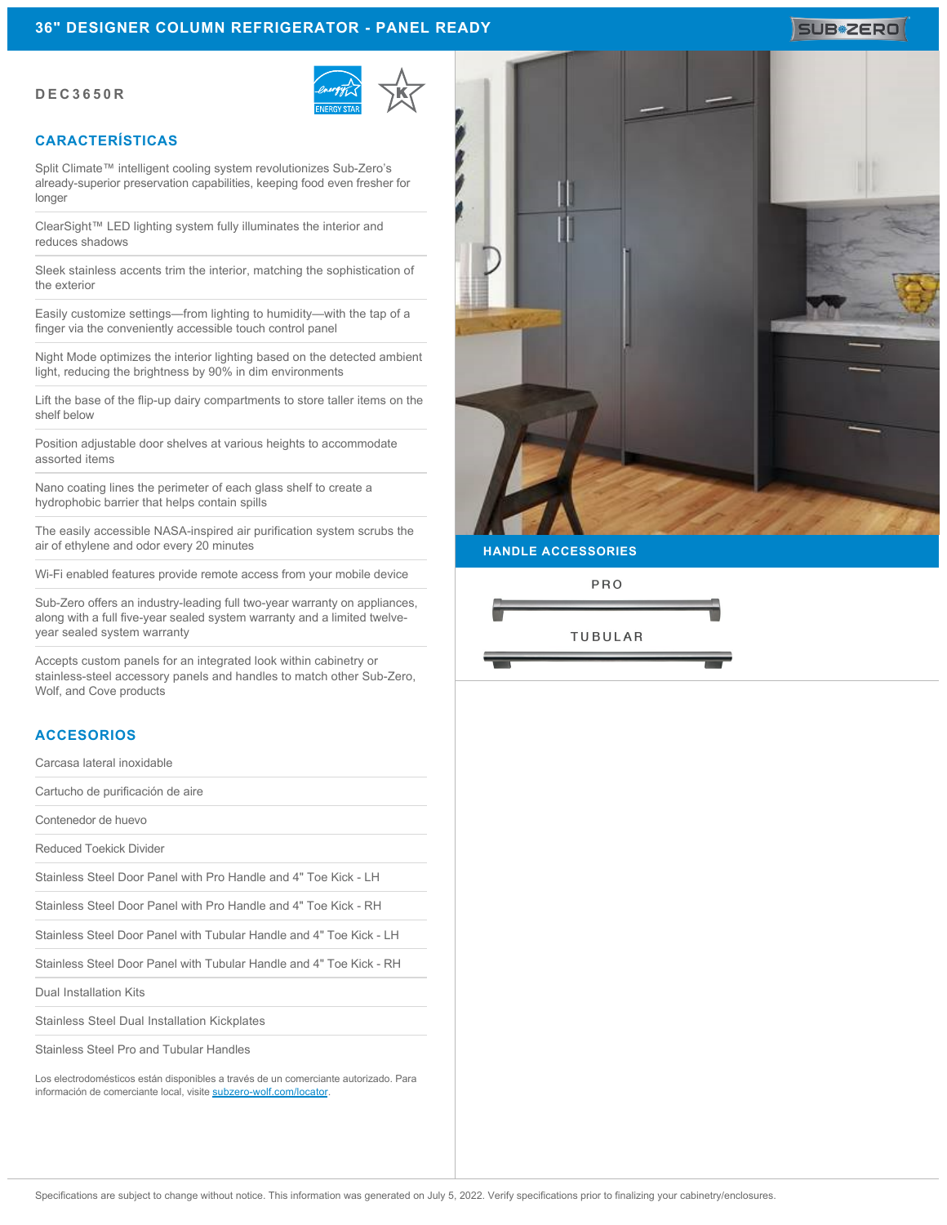#### **DEC3650R**



# **CARACTERÍSTICAS**

Split Climate™ intelligent cooling system revolutionizes Sub-Zero's already-superior preservation capabilities, keeping food even fresher for longer

ClearSight™ LED lighting system fully illuminates the interior and reduces shadows

Sleek stainless accents trim the interior, matching the sophistication of the exterior

Easily customize settings—from lighting to humidity—with the tap of a finger via the conveniently accessible touch control panel

Night Mode optimizes the interior lighting based on the detected ambient light, reducing the brightness by 90% in dim environments

Lift the base of the flip-up dairy compartments to store taller items on the shelf below

Position adjustable door shelves at various heights to accommodate assorted items

Nano coating lines the perimeter of each glass shelf to create a hydrophobic barrier that helps contain spills

The easily accessible NASA-inspired air purification system scrubs the air of ethylene and odor every 20 minutes

Wi-Fi enabled features provide remote access from your mobile device

Sub-Zero offers an industry-leading full two-year warranty on appliances, along with a full five-year sealed system warranty and a limited twelveyear sealed system warranty

Accepts custom panels for an integrated look within cabinetry or stainless-steel accessory panels and handles to match other Sub-Zero, Wolf, and Cove products

#### **ACCESORIOS**

Carcasa lateral inoxidable

Cartucho de purificación de aire

Contenedor de huevo

Reduced Toekick Divider

Stainless Steel Door Panel with Pro Handle and 4" Toe Kick - LH

Stainless Steel Door Panel with Pro Handle and 4" Toe Kick - RH

Stainless Steel Door Panel with Tubular Handle and 4" Toe Kick - LH

Stainless Steel Door Panel with Tubular Handle and 4" Toe Kick - RH

Dual Installation Kits

Stainless Steel Dual Installation Kickplates

Stainless Steel Pro and Tubular Handles

Los electrodomésticos están disponibles a través de un comerciante autorizado. Para información de comerciante local, visite [subzero-wolf.com/locator](http://www.subzero-wolf.com/locator).



**HANDLE ACCESSORIES**

PRO



# **SUB#ZERO**